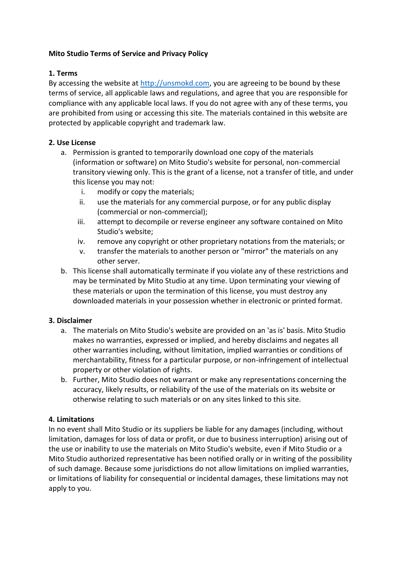# **Mito Studio Terms of Service and Privacy Policy**

### **1. Terms**

By accessing the website at [http://unsmokd.com,](http://unsmokd.com/) you are agreeing to be bound by these terms of service, all applicable laws and regulations, and agree that you are responsible for compliance with any applicable local laws. If you do not agree with any of these terms, you are prohibited from using or accessing this site. The materials contained in this website are protected by applicable copyright and trademark law.

# **2. Use License**

- a. Permission is granted to temporarily download one copy of the materials (information or software) on Mito Studio's website for personal, non-commercial transitory viewing only. This is the grant of a license, not a transfer of title, and under this license you may not:
	- i. modify or copy the materials;
	- ii. use the materials for any commercial purpose, or for any public display (commercial or non-commercial);
	- iii. attempt to decompile or reverse engineer any software contained on Mito Studio's website;
	- iv. remove any copyright or other proprietary notations from the materials; or
	- v. transfer the materials to another person or "mirror" the materials on any other server.
- b. This license shall automatically terminate if you violate any of these restrictions and may be terminated by Mito Studio at any time. Upon terminating your viewing of these materials or upon the termination of this license, you must destroy any downloaded materials in your possession whether in electronic or printed format.

#### **3. Disclaimer**

- a. The materials on Mito Studio's website are provided on an 'as is' basis. Mito Studio makes no warranties, expressed or implied, and hereby disclaims and negates all other warranties including, without limitation, implied warranties or conditions of merchantability, fitness for a particular purpose, or non-infringement of intellectual property or other violation of rights.
- b. Further, Mito Studio does not warrant or make any representations concerning the accuracy, likely results, or reliability of the use of the materials on its website or otherwise relating to such materials or on any sites linked to this site.

#### **4. Limitations**

In no event shall Mito Studio or its suppliers be liable for any damages (including, without limitation, damages for loss of data or profit, or due to business interruption) arising out of the use or inability to use the materials on Mito Studio's website, even if Mito Studio or a Mito Studio authorized representative has been notified orally or in writing of the possibility of such damage. Because some jurisdictions do not allow limitations on implied warranties, or limitations of liability for consequential or incidental damages, these limitations may not apply to you.